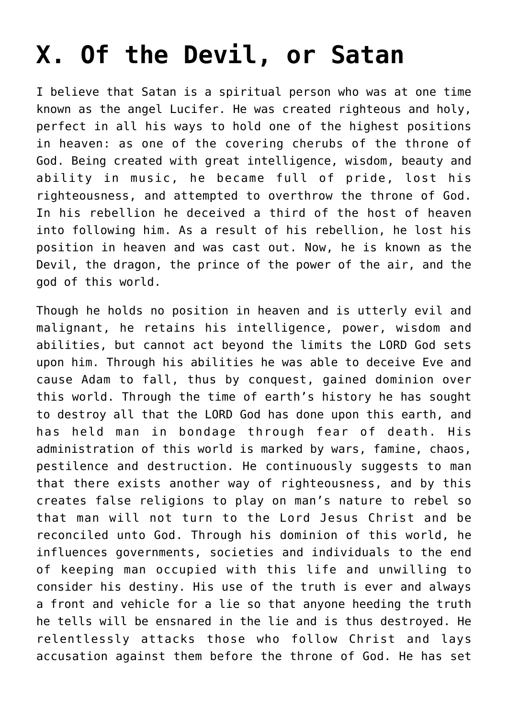## **[X. Of the Devil, or Satan](https://reproachofmen.org/statement-of-faith/x-of-the-devil-or-satan/)**

I believe that Satan is a spiritual person who was at one time known as the angel Lucifer. He was created righteous and holy, perfect in all his ways to hold one of the highest positions in heaven: as one of the covering cherubs of the throne of God. Being created with great intelligence, wisdom, beauty and ability in music, he became full of pride, lost his righteousness, and attempted to overthrow the throne of God. In his rebellion he deceived a third of the host of heaven into following him. As a result of his rebellion, he lost his position in heaven and was cast out. Now, he is known as the Devil, the dragon, the prince of the power of the air, and the god of this world.

Though he holds no position in heaven and is utterly evil and malignant, he retains his intelligence, power, wisdom and abilities, but cannot act beyond the limits the LORD God sets upon him. Through his abilities he was able to deceive Eve and cause Adam to fall, thus by conquest, gained dominion over this world. Through the time of earth's history he has sought to destroy all that the LORD God has done upon this earth, and has held man in bondage through fear of death. His administration of this world is marked by wars, famine, chaos, pestilence and destruction. He continuously suggests to man that there exists another way of righteousness, and by this creates false religions to play on man's nature to rebel so that man will not turn to the Lord Jesus Christ and be reconciled unto God. Through his dominion of this world, he influences governments, societies and individuals to the end of keeping man occupied with this life and unwilling to consider his destiny. His use of the truth is ever and always a front and vehicle for a lie so that anyone heeding the truth he tells will be ensnared in the lie and is thus destroyed. He relentlessly attacks those who follow Christ and lays accusation against them before the throne of God. He has set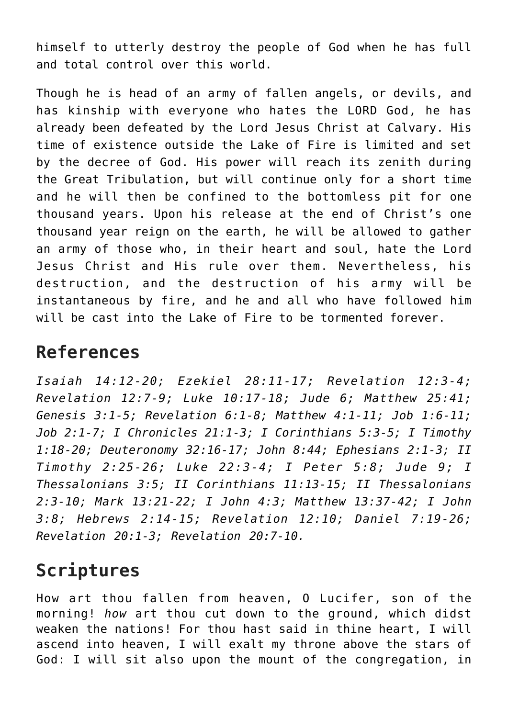himself to utterly destroy the people of God when he has full and total control over this world.

Though he is head of an army of fallen angels, or devils, and has kinship with everyone who hates the LORD God, he has already been defeated by the Lord Jesus Christ at Calvary. His time of existence outside the Lake of Fire is limited and set by the decree of God. His power will reach its zenith during the Great Tribulation, but will continue only for a short time and he will then be confined to the bottomless pit for one thousand years. Upon his release at the end of Christ's one thousand year reign on the earth, he will be allowed to gather an army of those who, in their heart and soul, hate the Lord Jesus Christ and His rule over them. Nevertheless, his destruction, and the destruction of his army will be instantaneous by fire, and he and all who have followed him will be cast into the Lake of Fire to be tormented forever.

## **References**

*Isaiah 14:12-20; Ezekiel 28:11-17; Revelation 12:3-4; Revelation 12:7-9; Luke 10:17-18; Jude 6; Matthew 25:41; Genesis 3:1-5; Revelation 6:1-8; Matthew 4:1-11; Job 1:6-11; Job 2:1-7; I Chronicles 21:1-3; I Corinthians 5:3-5; I Timothy 1:18-20; Deuteronomy 32:16-17; John 8:44; Ephesians 2:1-3; II Timothy 2:25-26; Luke 22:3-4; I Peter 5:8; Jude 9; I Thessalonians 3:5; II Corinthians 11:13-15; II Thessalonians 2:3-10; Mark 13:21-22; I John 4:3; Matthew 13:37-42; I John 3:8; Hebrews 2:14-15; Revelation 12:10; Daniel 7:19-26; Revelation 20:1-3; Revelation 20:7-10.*

## **Scriptures**

How art thou fallen from heaven, O Lucifer, son of the morning! *how* art thou cut down to the ground, which didst weaken the nations! For thou hast said in thine heart, I will ascend into heaven, I will exalt my throne above the stars of God: I will sit also upon the mount of the congregation, in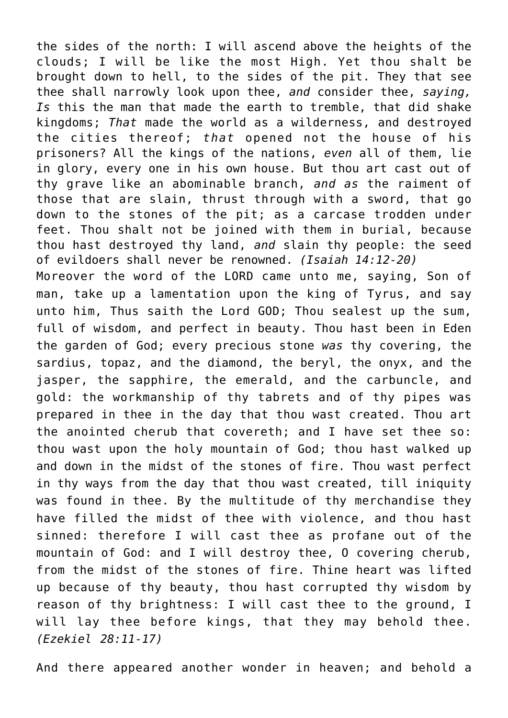the sides of the north: I will ascend above the heights of the clouds; I will be like the most High. Yet thou shalt be brought down to hell, to the sides of the pit. They that see thee shall narrowly look upon thee, *and* consider thee, *saying, Is* this the man that made the earth to tremble, that did shake kingdoms; *That* made the world as a wilderness, and destroyed the cities thereof; *that* opened not the house of his prisoners? All the kings of the nations, *even* all of them, lie in glory, every one in his own house. But thou art cast out of thy grave like an abominable branch, *and as* the raiment of those that are slain, thrust through with a sword, that go down to the stones of the pit; as a carcase trodden under feet. Thou shalt not be joined with them in burial, because thou hast destroyed thy land, *and* slain thy people: the seed of evildoers shall never be renowned. *(Isaiah 14:12-20)* Moreover the word of the LORD came unto me, saying, Son of man, take up a lamentation upon the king of Tyrus, and say unto him, Thus saith the Lord GOD; Thou sealest up the sum, full of wisdom, and perfect in beauty. Thou hast been in Eden the garden of God; every precious stone *was* thy covering, the sardius, topaz, and the diamond, the beryl, the onyx, and the jasper, the sapphire, the emerald, and the carbuncle, and gold: the workmanship of thy tabrets and of thy pipes was prepared in thee in the day that thou wast created. Thou art the anointed cherub that covereth; and I have set thee so: thou wast upon the holy mountain of God; thou hast walked up and down in the midst of the stones of fire. Thou wast perfect in thy ways from the day that thou wast created, till iniquity was found in thee. By the multitude of thy merchandise they have filled the midst of thee with violence, and thou hast sinned: therefore I will cast thee as profane out of the mountain of God: and I will destroy thee, O covering cherub, from the midst of the stones of fire. Thine heart was lifted up because of thy beauty, thou hast corrupted thy wisdom by reason of thy brightness: I will cast thee to the ground, I will lay thee before kings, that they may behold thee. *(Ezekiel 28:11-17)*

And there appeared another wonder in heaven; and behold a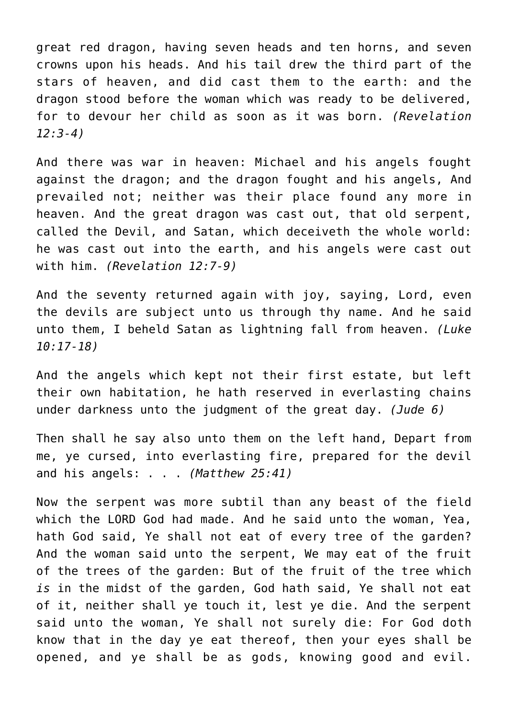great red dragon, having seven heads and ten horns, and seven crowns upon his heads. And his tail drew the third part of the stars of heaven, and did cast them to the earth: and the dragon stood before the woman which was ready to be delivered, for to devour her child as soon as it was born. *(Revelation 12:3-4)*

And there was war in heaven: Michael and his angels fought against the dragon; and the dragon fought and his angels, And prevailed not; neither was their place found any more in heaven. And the great dragon was cast out, that old serpent, called the Devil, and Satan, which deceiveth the whole world: he was cast out into the earth, and his angels were cast out with him. *(Revelation 12:7-9)*

And the seventy returned again with joy, saying, Lord, even the devils are subject unto us through thy name. And he said unto them, I beheld Satan as lightning fall from heaven. *(Luke 10:17-18)*

And the angels which kept not their first estate, but left their own habitation, he hath reserved in everlasting chains under darkness unto the judgment of the great day. *(Jude 6)*

Then shall he say also unto them on the left hand, Depart from me, ye cursed, into everlasting fire, prepared for the devil and his angels: . . . *(Matthew 25:41)*

Now the serpent was more subtil than any beast of the field which the LORD God had made. And he said unto the woman, Yea, hath God said, Ye shall not eat of every tree of the garden? And the woman said unto the serpent, We may eat of the fruit of the trees of the garden: But of the fruit of the tree which *is* in the midst of the garden, God hath said, Ye shall not eat of it, neither shall ye touch it, lest ye die. And the serpent said unto the woman, Ye shall not surely die: For God doth know that in the day ye eat thereof, then your eyes shall be opened, and ye shall be as gods, knowing good and evil.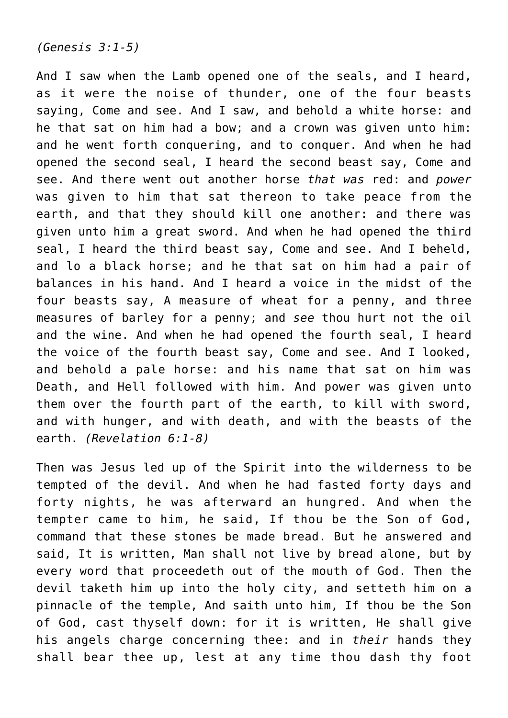## *(Genesis 3:1-5)*

And I saw when the Lamb opened one of the seals, and I heard, as it were the noise of thunder, one of the four beasts saying, Come and see. And I saw, and behold a white horse: and he that sat on him had a bow; and a crown was given unto him: and he went forth conquering, and to conquer. And when he had opened the second seal, I heard the second beast say, Come and see. And there went out another horse *that was* red: and *power* was given to him that sat thereon to take peace from the earth, and that they should kill one another: and there was given unto him a great sword. And when he had opened the third seal, I heard the third beast say, Come and see. And I beheld, and lo a black horse; and he that sat on him had a pair of balances in his hand. And I heard a voice in the midst of the four beasts say, A measure of wheat for a penny, and three measures of barley for a penny; and *see* thou hurt not the oil and the wine. And when he had opened the fourth seal, I heard the voice of the fourth beast say, Come and see. And I looked, and behold a pale horse: and his name that sat on him was Death, and Hell followed with him. And power was given unto them over the fourth part of the earth, to kill with sword, and with hunger, and with death, and with the beasts of the earth. *(Revelation 6:1-8)*

Then was Jesus led up of the Spirit into the wilderness to be tempted of the devil. And when he had fasted forty days and forty nights, he was afterward an hungred. And when the tempter came to him, he said, If thou be the Son of God, command that these stones be made bread. But he answered and said, It is written, Man shall not live by bread alone, but by every word that proceedeth out of the mouth of God. Then the devil taketh him up into the holy city, and setteth him on a pinnacle of the temple, And saith unto him, If thou be the Son of God, cast thyself down: for it is written, He shall give his angels charge concerning thee: and in *their* hands they shall bear thee up, lest at any time thou dash thy foot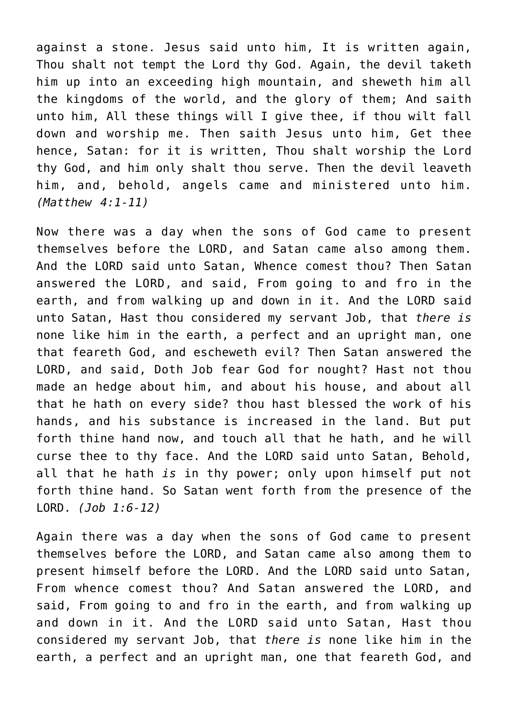against a stone. Jesus said unto him, It is written again, Thou shalt not tempt the Lord thy God. Again, the devil taketh him up into an exceeding high mountain, and sheweth him all the kingdoms of the world, and the glory of them; And saith unto him, All these things will I give thee, if thou wilt fall down and worship me. Then saith Jesus unto him, Get thee hence, Satan: for it is written, Thou shalt worship the Lord thy God, and him only shalt thou serve. Then the devil leaveth him, and, behold, angels came and ministered unto him. *(Matthew 4:1-11)*

Now there was a day when the sons of God came to present themselves before the LORD, and Satan came also among them. And the LORD said unto Satan, Whence comest thou? Then Satan answered the LORD, and said, From going to and fro in the earth, and from walking up and down in it. And the LORD said unto Satan, Hast thou considered my servant Job, that *there is* none like him in the earth, a perfect and an upright man, one that feareth God, and escheweth evil? Then Satan answered the LORD, and said, Doth Job fear God for nought? Hast not thou made an hedge about him, and about his house, and about all that he hath on every side? thou hast blessed the work of his hands, and his substance is increased in the land. But put forth thine hand now, and touch all that he hath, and he will curse thee to thy face. And the LORD said unto Satan, Behold, all that he hath *is* in thy power; only upon himself put not forth thine hand. So Satan went forth from the presence of the LORD. *(Job 1:6-12)*

Again there was a day when the sons of God came to present themselves before the LORD, and Satan came also among them to present himself before the LORD. And the LORD said unto Satan, From whence comest thou? And Satan answered the LORD, and said, From going to and fro in the earth, and from walking up and down in it. And the LORD said unto Satan, Hast thou considered my servant Job, that *there is* none like him in the earth, a perfect and an upright man, one that feareth God, and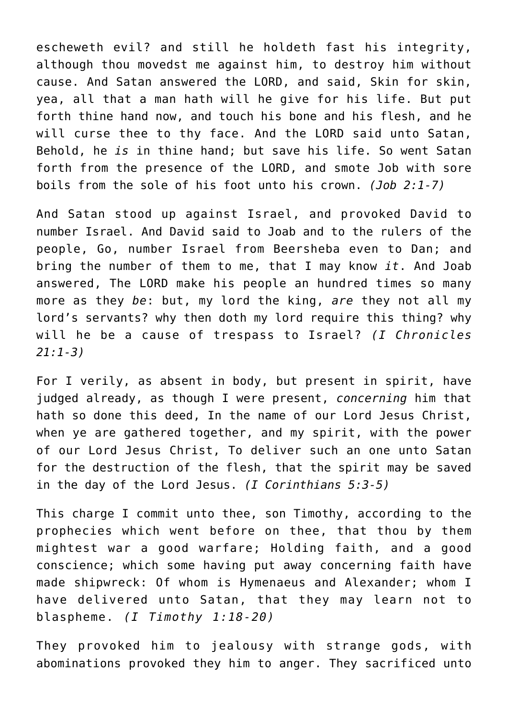escheweth evil? and still he holdeth fast his integrity, although thou movedst me against him, to destroy him without cause. And Satan answered the LORD, and said, Skin for skin, yea, all that a man hath will he give for his life. But put forth thine hand now, and touch his bone and his flesh, and he will curse thee to thy face. And the LORD said unto Satan, Behold, he *is* in thine hand; but save his life. So went Satan forth from the presence of the LORD, and smote Job with sore boils from the sole of his foot unto his crown. *(Job 2:1-7)*

And Satan stood up against Israel, and provoked David to number Israel. And David said to Joab and to the rulers of the people, Go, number Israel from Beersheba even to Dan; and bring the number of them to me, that I may know *it*. And Joab answered, The LORD make his people an hundred times so many more as they *be*: but, my lord the king, *are* they not all my lord's servants? why then doth my lord require this thing? why will he be a cause of trespass to Israel? *(I Chronicles 21:1-3)*

For I verily, as absent in body, but present in spirit, have judged already, as though I were present, *concerning* him that hath so done this deed, In the name of our Lord Jesus Christ, when ye are gathered together, and my spirit, with the power of our Lord Jesus Christ, To deliver such an one unto Satan for the destruction of the flesh, that the spirit may be saved in the day of the Lord Jesus. *(I Corinthians 5:3-5)*

This charge I commit unto thee, son Timothy, according to the prophecies which went before on thee, that thou by them mightest war a good warfare; Holding faith, and a good conscience; which some having put away concerning faith have made shipwreck: Of whom is Hymenaeus and Alexander; whom I have delivered unto Satan, that they may learn not to blaspheme. *(I Timothy 1:18-20)*

They provoked him to jealousy with strange gods, with abominations provoked they him to anger. They sacrificed unto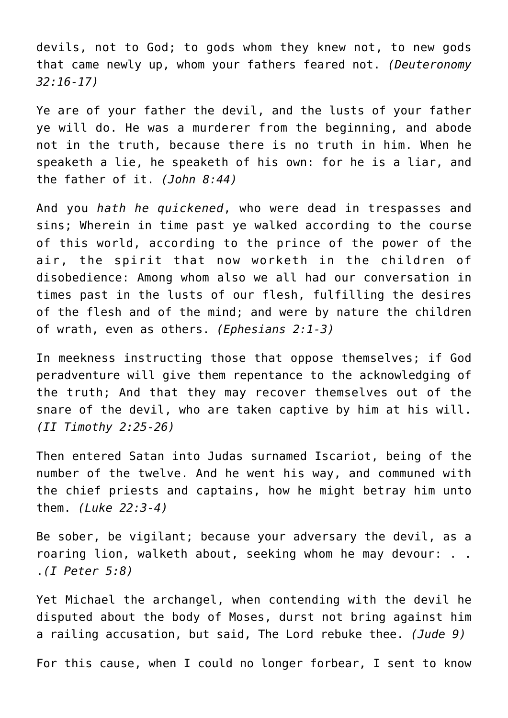devils, not to God; to gods whom they knew not, to new gods that came newly up, whom your fathers feared not. *(Deuteronomy 32:16-17)*

Ye are of your father the devil, and the lusts of your father ye will do. He was a murderer from the beginning, and abode not in the truth, because there is no truth in him. When he speaketh a lie, he speaketh of his own: for he is a liar, and the father of it. *(John 8:44)*

And you *hath he quickened*, who were dead in trespasses and sins; Wherein in time past ye walked according to the course of this world, according to the prince of the power of the air, the spirit that now worketh in the children of disobedience: Among whom also we all had our conversation in times past in the lusts of our flesh, fulfilling the desires of the flesh and of the mind; and were by nature the children of wrath, even as others. *(Ephesians 2:1-3)*

In meekness instructing those that oppose themselves; if God peradventure will give them repentance to the acknowledging of the truth; And that they may recover themselves out of the snare of the devil, who are taken captive by him at his will. *(II Timothy 2:25-26)*

Then entered Satan into Judas surnamed Iscariot, being of the number of the twelve. And he went his way, and communed with the chief priests and captains, how he might betray him unto them. *(Luke 22:3-4)*

Be sober, be vigilant; because your adversary the devil, as a roaring lion, walketh about, seeking whom he may devour: . . .*(I Peter 5:8)*

Yet Michael the archangel, when contending with the devil he disputed about the body of Moses, durst not bring against him a railing accusation, but said, The Lord rebuke thee. *(Jude 9)*

For this cause, when I could no longer forbear, I sent to know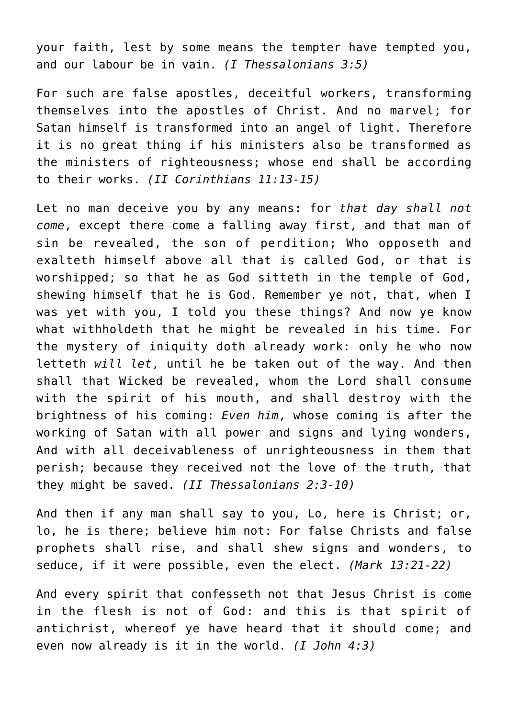your faith, lest by some means the tempter have tempted you, and our labour be in vain. *(I Thessalonians 3:5)*

For such are false apostles, deceitful workers, transforming themselves into the apostles of Christ. And no marvel; for Satan himself is transformed into an angel of light. Therefore it is no great thing if his ministers also be transformed as the ministers of righteousness; whose end shall be according to their works. *(II Corinthians 11:13-15)*

Let no man deceive you by any means: for *that day shall not come*, except there come a falling away first, and that man of sin be revealed, the son of perdition; Who opposeth and exalteth himself above all that is called God, or that is worshipped; so that he as God sitteth in the temple of God, shewing himself that he is God. Remember ye not, that, when I was yet with you, I told you these things? And now ye know what withholdeth that he might be revealed in his time. For the mystery of iniquity doth already work: only he who now letteth *will let*, until he be taken out of the way. And then shall that Wicked be revealed, whom the Lord shall consume with the spirit of his mouth, and shall destroy with the brightness of his coming: *Even him*, whose coming is after the working of Satan with all power and signs and lying wonders, And with all deceivableness of unrighteousness in them that perish; because they received not the love of the truth, that they might be saved. *(II Thessalonians 2:3-10)*

And then if any man shall say to you, Lo, here is Christ; or, lo, he is there; believe him not: For false Christs and false prophets shall rise, and shall shew signs and wonders, to seduce, if it were possible, even the elect. *(Mark 13:21-22)*

And every spirit that confesseth not that Jesus Christ is come in the flesh is not of God: and this is that spirit of antichrist, whereof ye have heard that it should come; and even now already is it in the world. *(I John 4:3)*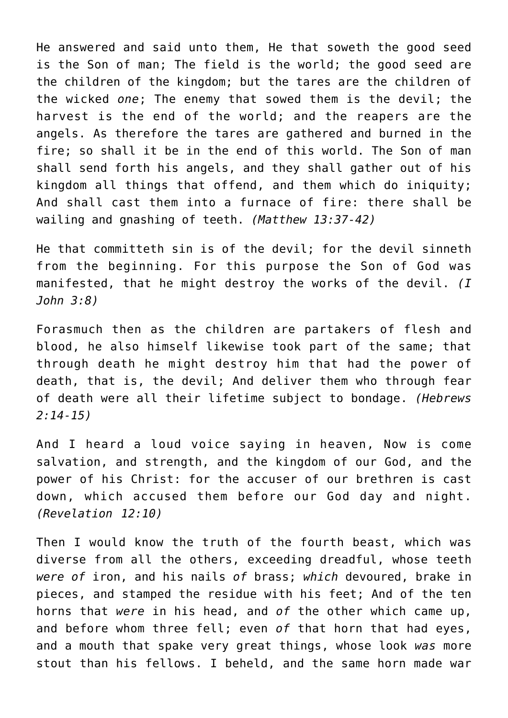He answered and said unto them, He that soweth the good seed is the Son of man; The field is the world; the good seed are the children of the kingdom; but the tares are the children of the wicked *one*; The enemy that sowed them is the devil; the harvest is the end of the world; and the reapers are the angels. As therefore the tares are gathered and burned in the fire; so shall it be in the end of this world. The Son of man shall send forth his angels, and they shall gather out of his kingdom all things that offend, and them which do iniquity; And shall cast them into a furnace of fire: there shall be wailing and gnashing of teeth. *(Matthew 13:37-42)*

He that committeth sin is of the devil; for the devil sinneth from the beginning. For this purpose the Son of God was manifested, that he might destroy the works of the devil. *(I John 3:8)*

Forasmuch then as the children are partakers of flesh and blood, he also himself likewise took part of the same; that through death he might destroy him that had the power of death, that is, the devil; And deliver them who through fear of death were all their lifetime subject to bondage. *(Hebrews 2:14-15)*

And I heard a loud voice saying in heaven, Now is come salvation, and strength, and the kingdom of our God, and the power of his Christ: for the accuser of our brethren is cast down, which accused them before our God day and night. *(Revelation 12:10)*

Then I would know the truth of the fourth beast, which was diverse from all the others, exceeding dreadful, whose teeth *were of* iron, and his nails *of* brass; *which* devoured, brake in pieces, and stamped the residue with his feet; And of the ten horns that *were* in his head, and *of* the other which came up, and before whom three fell; even *of* that horn that had eyes, and a mouth that spake very great things, whose look *was* more stout than his fellows. I beheld, and the same horn made war